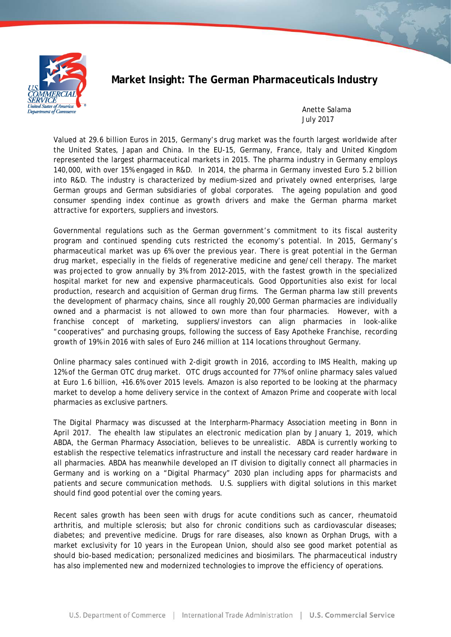

# **Market Insight: The German Pharmaceuticals Industry**

Anette Salama July 2017

Valued at 29.6 billion Euros in 2015, Germany's drug market was the fourth largest worldwide after the United States, Japan and China. In the EU-15, Germany, France, Italy and United Kingdom represented the largest pharmaceutical markets in 2015. The pharma industry in Germany employs 140,000, with over 15% engaged in R&D. In 2014, the pharma in Germany invested Euro 5.2 billion into R&D. The industry is characterized by medium-sized and privately owned enterprises, large German groups and German subsidiaries of global corporates. The ageing population and good consumer spending index continue as growth drivers and make the German pharma market attractive for exporters, suppliers and investors.

Governmental regulations such as the German government's commitment to its fiscal austerity program and continued spending cuts restricted the economy's potential. In 2015, Germany's pharmaceutical market was up 6% over the previous year. There is great potential in the German drug market, especially in the fields of regenerative medicine and gene/cell therapy. The market was projected to grow annually by 3% from 2012-2015, with the fastest growth in the specialized hospital market for new and expensive pharmaceuticals. Good Opportunities also exist for local production, research and acquisition of German drug firms. The German pharma law still prevents the development of pharmacy chains, since all roughly 20,000 German pharmacies are individually owned and a pharmacist is not allowed to own more than four pharmacies. However, with a franchise concept of marketing, suppliers/investors can align pharmacies in look-alike "cooperatives" and purchasing groups, following the success of *Easy Apotheke* Franchise, recording growth of 19% in 2016 with sales of Euro 246 million at 114 locations throughout Germany.

Online pharmacy sales continued with 2-digit growth in 2016, according to IMS Health, making up 12% of the German OTC drug market. OTC drugs accounted for 77% of online pharmacy sales valued at Euro 1.6 billion, +16.6% over 2015 levels. Amazon is also reported to be looking at the pharmacy market to develop a home delivery service in the context of Amazon Prime and cooperate with local pharmacies as exclusive partners.

The Digital Pharmacy was discussed at the Interpharm-Pharmacy Association meeting in Bonn in April 2017. The ehealth law stipulates an electronic medication plan by January 1, 2019, which ABDA, the German Pharmacy Association, believes to be unrealistic. ABDA is currently working to establish the respective telematics infrastructure and install the necessary card reader hardware in all pharmacies. ABDA has meanwhile developed an IT division to digitally connect all pharmacies in Germany and is working on a "Digital Pharmacy" 2030 plan including apps for pharmacists and patients and secure communication methods. U.S. suppliers with digital solutions in this market should find good potential over the coming years.

Recent sales growth has been seen with drugs for acute conditions such as cancer, rheumatoid arthritis, and multiple sclerosis; but also for chronic conditions such as cardiovascular diseases; diabetes; and preventive medicine. Drugs for rare diseases, also known as Orphan Drugs, with a market exclusivity for 10 years in the European Union, should also see good market potential as should bio-based medication; personalized medicines and biosimilars. The pharmaceutical industry has also implemented new and modernized technologies to improve the efficiency of operations.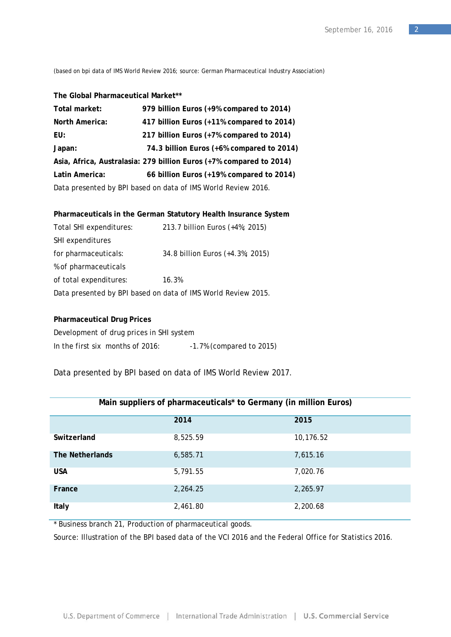(based on bpi data of IMS World Review 2016; source: German Pharmaceutical Industry Association)

#### **The Global Pharmaceutical Market\*\***

| Total market:                                                       | 979 billion Euros (+9% compared to 2014)  |  |
|---------------------------------------------------------------------|-------------------------------------------|--|
| <b>North America:</b>                                               | 417 billion Euros (+11% compared to 2014) |  |
| EU:                                                                 | 217 billion Euros (+7% compared to 2014)  |  |
| Japan:                                                              | 74.3 billion Euros (+6% compared to 2014) |  |
| Asia, Africa, Australasia: 279 billion Euros (+7% compared to 2014) |                                           |  |
| Latin America:                                                      | 66 billion Euros (+19% compared to 2014)  |  |
| Data presented by BPI based on data of IMS World Review 2016.       |                                           |  |

### **Pharmaceuticals in the German Statutory Health Insurance System**

| Total SHI expenditures: | 213.7 billion Euros (+4%; 2015)                               |
|-------------------------|---------------------------------------------------------------|
| SHI expenditures        |                                                               |
| for pharmaceuticals:    | 34.8 billion Euros (+4.3%; 2015)                              |
| % of pharmaceuticals    |                                                               |
| of total expenditures:  | 16.3%                                                         |
|                         | Data presented by BPI based on data of IMS World Review 2015. |

#### **Pharmaceutical Drug Prices**

| Development of drug prices in SHI system |                          |
|------------------------------------------|--------------------------|
| In the first six months of $2016$ :      | -1.7% (compared to 2015) |

Data presented by BPI based on data of IMS World Review 2017.

| $m$ an sapphors or pharmacoations to communy (in minion Earlys) |          |           |
|-----------------------------------------------------------------|----------|-----------|
|                                                                 | 2014     | 2015      |
| Switzerland                                                     | 8,525.59 | 10,176.52 |
| The Netherlands                                                 | 6,585.71 | 7,615.16  |
| <b>USA</b>                                                      | 5,791.55 | 7,020.76  |
| France                                                          | 2,264.25 | 2,265.97  |
| Italy                                                           | 2,461.80 | 2,200.68  |

## **Main suppliers of pharmaceuticals\* to Germany (in million Euros)**

\* Business branch 21, Production of pharmaceutical goods.

Source: Illustration of the BPI based data of the VCI 2016 and the Federal Office for Statistics 2016.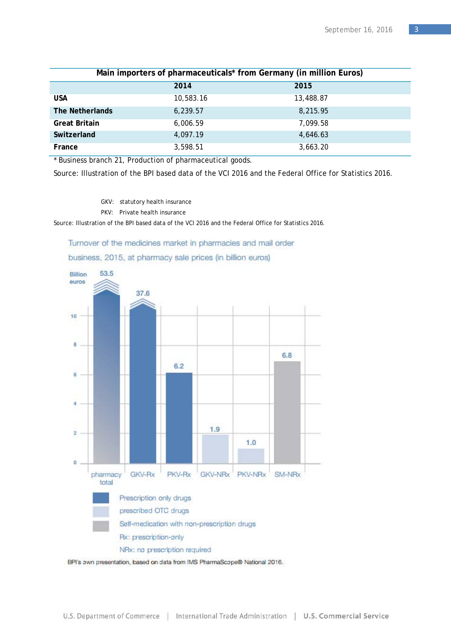| Main importers of pharmaceuticals* from Germany (in million Euros) |           |           |
|--------------------------------------------------------------------|-----------|-----------|
|                                                                    | 2014      | 2015      |
| <b>USA</b>                                                         | 10,583.16 | 13,488.87 |
| The Netherlands                                                    | 6,239.57  | 8,215.95  |
| <b>Great Britain</b>                                               | 6,006.59  | 7,099.58  |
| Switzerland                                                        | 4,097.19  | 4,646.63  |
| France                                                             | 3,598.51  | 3,663.20  |

\* Business branch 21, Production of pharmaceutical goods.

Source: Illustration of the BPI based data of the VCI 2016 and the Federal Office for Statistics 2016.

GKV: statutory health insurance

PKV: Private health insurance

Source: Illustration of the BPI based data of the VCI 2016 and the Federal Office for Statistics 2016.

Turnover of the medicines market in pharmacies and mail order business, 2015, at pharmacy sale prices (in billion euros)



BPI's own presentation, based on data from IMS PharmaScope® National 2016.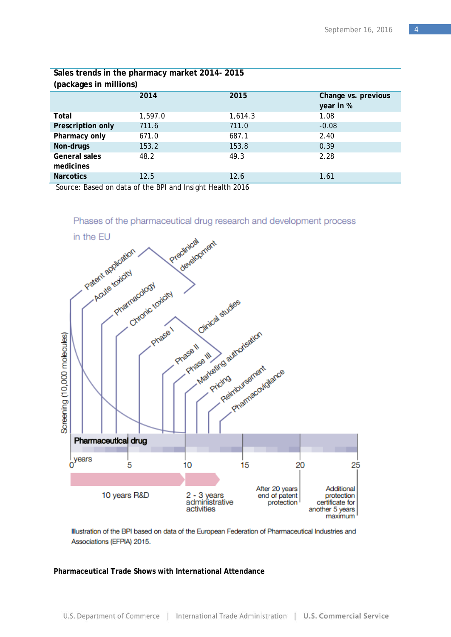| Sales trends in the pharmacy market 2014-2015<br>(packages in millions) |         |         |                     |
|-------------------------------------------------------------------------|---------|---------|---------------------|
|                                                                         | 2014    | 2015    | Change vs. previous |
|                                                                         |         |         | year in %           |
| Total                                                                   | 1,597.0 | 1,614.3 | 1.08                |
| Prescription only                                                       | 711.6   | 711.0   | $-0.08$             |
| Pharmacy only                                                           | 671.0   | 687.1   | 2.40                |
| Non-drugs                                                               | 153.2   | 153.8   | 0.39                |
| General sales                                                           | 48.2    | 49.3    | 2.28                |
| medicines                                                               |         |         |                     |
| <b>Narcotics</b>                                                        | 12.5    | 12.6    | 1.61                |
|                                                                         |         |         |                     |

Source: Based on data of the BPI and Insight Health 2016



Illustration of the BPI based on data of the European Federation of Pharmaceutical Industries and Associations (EFPIA) 2015.

#### **Pharmaceutical Trade Shows with International Attendance**